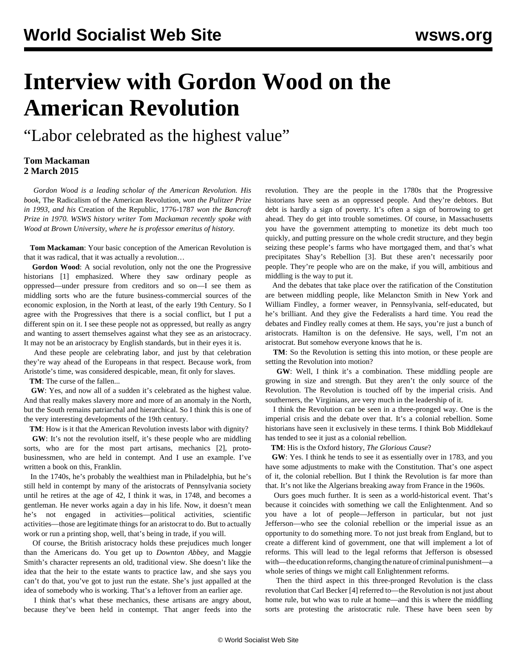# **Interview with Gordon Wood on the American Revolution**

"Labor celebrated as the highest value"

### **Tom Mackaman 2 March 2015**

 *Gordon Wood is a leading scholar of the American Revolution. His book,* The Radicalism of the American Revolution*, won the Pulitzer Prize in 1993, and his* Creation of the Republic, 1776-1787 *won the Bancroft Prize in 1970. WSWS history writer Tom Mackaman recently spoke with Wood at Brown University, where he is professor emeritus of history.*

 **Tom Mackaman**: Your basic conception of the American Revolution is that it was radical, that it was actually a revolution…

 **Gordon Wood**: A social revolution, only not the one the Progressive historians [1] emphasized. Where they saw ordinary people as oppressed—under pressure from creditors and so on—I see them as middling sorts who are the future business-commercial sources of the economic explosion, in the North at least, of the early 19th Century. So I agree with the Progressives that there is a social conflict, but I put a different spin on it. I see these people not as oppressed, but really as angry and wanting to assert themselves against what they see as an aristocracy. It may not be an aristocracy by English standards, but in their eyes it is.

 And these people are celebrating labor, and just by that celebration they're way ahead of the Europeans in that respect. Because work, from Aristotle's time, was considered despicable, mean, fit only for slaves.

**TM**: The curse of the fallen...

GW: Yes, and now all of a sudden it's celebrated as the highest value. And that really makes slavery more and more of an anomaly in the North, but the South remains patriarchal and hierarchical. So I think this is one of the very interesting developments of the 19th century.

**TM**: How is it that the American Revolution invests labor with dignity?

GW: It's not the revolution itself, it's these people who are middling sorts, who are for the most part artisans, mechanics [2], protobusinessmen, who are held in contempt. And I use an example. I've written a book on this, Franklin.

 In the 1740s, he's probably the wealthiest man in Philadelphia, but he's still held in contempt by many of the aristocrats of Pennsylvania society until he retires at the age of 42, I think it was, in 1748, and becomes a gentleman. He never works again a day in his life. Now, it doesn't mean he's not engaged in activities—political activities, scientific activities—those are legitimate things for an aristocrat to do. But to actually work or run a printing shop, well, that's being in trade, if you will.

 Of course, the British aristocracy holds these prejudices much longer than the Americans do. You get up to *Downton Abbey*, and Maggie Smith's character represents an old, traditional view. She doesn't like the idea that the heir to the estate wants to practice law, and she says you can't do that, you've got to just run the estate. She's just appalled at the idea of somebody who is working. That's a leftover from an earlier age.

 I think that's what these mechanics, these artisans are angry about, because they've been held in contempt. That anger feeds into the

revolution. They are the people in the 1780s that the Progressive historians have seen as an oppressed people. And they're debtors. But debt is hardly a sign of poverty. It's often a sign of borrowing to get ahead. They do get into trouble sometimes. Of course, in Massachusetts you have the government attempting to monetize its debt much too quickly, and putting pressure on the whole credit structure, and they begin seizing these people's farms who have mortgaged them, and that's what precipitates Shay's Rebellion [3]. But these aren't necessarily poor people. They're people who are on the make, if you will, ambitious and middling is the way to put it.

 And the debates that take place over the ratification of the Constitution are between middling people, like Melancton Smith in New York and William Findley, a former weaver, in Pennsylvania, self-educated, but he's brilliant. And they give the Federalists a hard time. You read the debates and Findley really comes at them. He says, you're just a bunch of aristocrats. Hamilton is on the defensive. He says, well, I'm not an aristocrat. But somehow everyone knows that he is.

 **TM**: So the Revolution is setting this into motion, or these people are setting the Revolution into motion?

 **GW**: Well, I think it's a combination. These middling people are growing in size and strength. But they aren't the only source of the Revolution. The Revolution is touched off by the imperial crisis. And southerners, the Virginians, are very much in the leadership of it.

 I think the Revolution can be seen in a three-pronged way. One is the imperial crisis and the debate over that. It's a colonial rebellion. Some historians have seen it exclusively in these terms. I think Bob Middlekauf has tended to see it just as a colonial rebellion.

**TM**: His is the Oxford history, *The Glorious Cause*?

 **GW**: Yes. I think he tends to see it as essentially over in 1783, and you have some adjustments to make with the Constitution. That's one aspect of it, the colonial rebellion. But I think the Revolution is far more than that. It's not like the Algerians breaking away from France in the 1960s.

 Ours goes much further. It is seen as a world-historical event. That's because it coincides with something we call the Enlightenment. And so you have a lot of people—Jefferson in particular, but not just Jefferson—who see the colonial rebellion or the imperial issue as an opportunity to do something more. To not just break from England, but to create a different kind of government, one that will implement a lot of reforms. This will lead to the legal reforms that Jefferson is obsessed with—the education reforms, changing the nature of criminal punishment—a whole series of things we might call Enlightenment reforms.

 Then the third aspect in this three-pronged Revolution is the class revolution that Carl Becker [4] referred to—the Revolution is not just about home rule, but who was to rule at home—and this is where the middling sorts are protesting the aristocratic rule. These have been seen by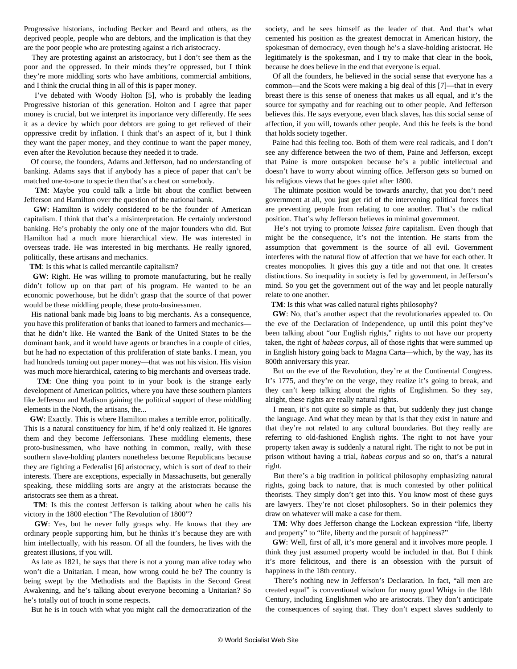Progressive historians, including Becker and Beard and others, as the deprived people, people who are debtors, and the implication is that they are the poor people who are protesting against a rich aristocracy.

 They are protesting against an aristocracy, but I don't see them as the poor and the oppressed. In their minds they're oppressed, but I think they're more middling sorts who have ambitions, commercial ambitions, and I think the crucial thing in all of this is paper money.

 I've debated with Woody Holton [5], who is probably the leading Progressive historian of this generation. Holton and I agree that paper money is crucial, but we interpret its importance very differently. He sees it as a device by which poor debtors are going to get relieved of their oppressive credit by inflation. I think that's an aspect of it, but I think they want the paper money, and they continue to want the paper money, even after the Revolution because they needed it to trade.

 Of course, the founders, Adams and Jefferson, had no understanding of banking. Adams says that if anybody has a piece of paper that can't be matched one-to-one to specie then that's a cheat on somebody.

 **TM**: Maybe you could talk a little bit about the conflict between Jefferson and Hamilton over the question of the national bank.

 **GW**: Hamilton is widely considered to be the founder of American capitalism. I think that that's a misinterpretation. He certainly understood banking. He's probably the only one of the major founders who did. But Hamilton had a much more hierarchical view. He was interested in overseas trade. He was interested in big merchants. He really ignored, politically, these artisans and mechanics.

**TM**: Is this what is called mercantile capitalism?

 **GW**: Right. He was willing to promote manufacturing, but he really didn't follow up on that part of his program. He wanted to be an economic powerhouse, but he didn't grasp that the source of that power would be these middling people, these proto-businessmen.

 His national bank made big loans to big merchants. As a consequence, you have this proliferation of banks that loaned to farmers and mechanics that he didn't like. He wanted the Bank of the United States to be the dominant bank, and it would have agents or branches in a couple of cities, but he had no expectation of this proliferation of state banks. I mean, you had hundreds turning out paper money—that was not his vision. His vision was much more hierarchical, catering to big merchants and overseas trade.

 **TM**: One thing you point to in your book is the strange early development of American politics, where you have these southern planters like Jefferson and Madison gaining the political support of these middling elements in the North, the artisans, the...

 **GW**: Exactly. This is where Hamilton makes a terrible error, politically. This is a natural constituency for him, if he'd only realized it. He ignores them and they become Jeffersonians. These middling elements, these proto-businessmen, who have nothing in common, really, with these southern slave-holding planters nonetheless become Republicans because they are fighting a Federalist [6] aristocracy, which is sort of deaf to their interests. There are exceptions, especially in Massachusetts, but generally speaking, these middling sorts are angry at the aristocrats because the aristocrats see them as a threat.

 **TM**: Is this the contest Jefferson is talking about when he calls his victory in the 1800 election "The Revolution of 1800"?

 **GW**: Yes, but he never fully grasps why. He knows that they are ordinary people supporting him, but he thinks it's because they are with him intellectually, with his reason. Of all the founders, he lives with the greatest illusions, if you will.

 As late as 1821, he says that there is not a young man alive today who won't die a Unitarian. I mean, how wrong could he be? The country is being swept by the Methodists and the Baptists in the Second Great Awakening, and he's talking about everyone becoming a Unitarian? So he's totally out of touch in some respects.

But he is in touch with what you might call the democratization of the

society, and he sees himself as the leader of that. And that's what cemented his position as the greatest democrat in American history, the spokesman of democracy, even though he's a slave-holding aristocrat. He legitimately is the spokesman, and I try to make that clear in the book, because he does believe in the end that everyone is equal.

 Of all the founders, he believed in the social sense that everyone has a common—and the Scots were making a big deal of this [7]—that in every breast there is this sense of oneness that makes us all equal, and it's the source for sympathy and for reaching out to other people. And Jefferson believes this. He says everyone, even black slaves, has this social sense of affection, if you will, towards other people. And this he feels is the bond that holds society together.

 Paine had this feeling too. Both of them were real radicals, and I don't see any difference between the two of them, Paine and Jefferson, except that Paine is more outspoken because he's a public intellectual and doesn't have to worry about winning office. Jefferson gets so burned on his religious views that he goes quiet after 1800.

 The ultimate position would be towards anarchy, that you don't need government at all, you just get rid of the intervening political forces that are preventing people from relating to one another. That's the radical position. That's why Jefferson believes in minimal government.

 He's not trying to promote *laissez faire* capitalism. Even though that might be the consequence, it's not the intention. He starts from the assumption that government is the source of all evil. Government interferes with the natural flow of affection that we have for each other. It creates monopolies. It gives this guy a title and not that one. It creates distinctions. So inequality in society is fed by government, in Jefferson's mind. So you get the government out of the way and let people naturally relate to one another.

**TM**: Is this what was called natural rights philosophy?

 **GW**: No, that's another aspect that the revolutionaries appealed to. On the eve of the Declaration of Independence, up until this point they've been talking about "our English rights," rights to not have our property taken, the right of *habeas corpus*, all of those rights that were summed up in English history going back to Magna Carta—which, by the way, has its 800th anniversary this year.

 But on the eve of the Revolution, they're at the Continental Congress. It's 1775, and they're on the verge, they realize it's going to break, and they can't keep talking about the rights of Englishmen. So they say, alright, these rights are really natural rights.

 I mean, it's not quite so simple as that, but suddenly they just change the language. And what they mean by that is that they exist in nature and that they're not related to any cultural boundaries. But they really are referring to old-fashioned English rights. The right to not have your property taken away is suddenly a natural right. The right to not be put in prison without having a trial, *habeas corpus* and so on, that's a natural right.

 But there's a big tradition in political philosophy emphasizing natural rights, going back to nature, that is much contested by other political theorists. They simply don't get into this. You know most of these guys are lawyers. They're not closet philosophers. So in their polemics they draw on whatever will make a case for them.

TM: Why does Jefferson change the Lockean expression "life, liberty and property" to "life, liberty and the pursuit of happiness?"

 **GW**: Well, first of all, it's more general and it involves more people. I think they just assumed property would be included in that. But I think it's more felicitous, and there is an obsession with the pursuit of happiness in the 18th century.

 There's nothing new in Jefferson's Declaration. In fact, "all men are created equal" is conventional wisdom for many good Whigs in the 18th Century, including Englishmen who are aristocrats. They don't anticipate the consequences of saying that. They don't expect slaves suddenly to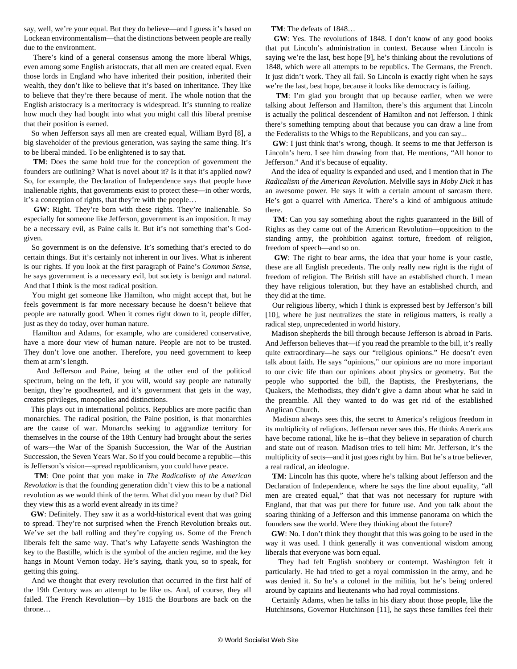say, well, we're your equal. But they do believe—and I guess it's based on Lockean environmentalism—that the distinctions between people are really due to the environment.

 There's kind of a general consensus among the more liberal Whigs, even among some English aristocrats, that all men are created equal. Even those lords in England who have inherited their position, inherited their wealth, they don't like to believe that it's based on inheritance. They like to believe that they're there because of merit. The whole notion that the English aristocracy is a meritocracy is widespread. It's stunning to realize how much they had bought into what you might call this liberal premise that their position is earned.

 So when Jefferson says all men are created equal, William Byrd [8], a big slaveholder of the previous generation, was saying the same thing. It's to be liberal minded. To be enlightened is to say that.

 **TM**: Does the same hold true for the conception of government the founders are outlining? What is novel about it? Is it that it's applied now? So, for example, the Declaration of Independence says that people have inalienable rights, that governments exist to protect these—in other words, it's a conception of rights, that they're with the people…

 **GW**: Right. They're born with these rights. They're inalienable. So especially for someone like Jefferson, government is an imposition. It may be a necessary evil, as Paine calls it. But it's not something that's Godgiven.

 So government is on the defensive. It's something that's erected to do certain things. But it's certainly not inherent in our lives. What is inherent is our rights. If you look at the first paragraph of Paine's *Common Sense*, he says government is a necessary evil, but society is benign and natural. And that I think is the most radical position.

 You might get someone like Hamilton, who might accept that, but he feels government is far more necessary because he doesn't believe that people are naturally good. When it comes right down to it, people differ, just as they do today, over human nature.

 Hamilton and Adams, for example, who are considered conservative, have a more dour view of human nature. People are not to be trusted. They don't love one another. Therefore, you need government to keep them at arm's length.

 And Jefferson and Paine, being at the other end of the political spectrum, being on the left, if you will, would say people are naturally benign, they're goodhearted, and it's government that gets in the way, creates privileges, monopolies and distinctions.

 This plays out in international politics. Republics are more pacific than monarchies. The radical position, the Paine position, is that monarchies are the cause of war. Monarchs seeking to aggrandize territory for themselves in the course of the 18th Century had brought about the series of wars—the War of the Spanish Succession, the War of the Austrian Succession, the Seven Years War. So if you could become a republic—this is Jefferson's vision—spread republicanism, you could have peace.

 **TM**: One point that you make in *The Radicalism of the American Revolution* is that the founding generation didn't view this to be a national revolution as we would think of the term. What did you mean by that? Did they view this as a world event already in its time?

 **GW**: Definitely. They saw it as a world-historical event that was going to spread. They're not surprised when the French Revolution breaks out. We've set the ball rolling and they're copying us. Some of the French liberals felt the same way. That's why Lafayette sends Washington the key to the Bastille, which is the symbol of the ancien regime, and the key hangs in Mount Vernon today. He's saying, thank you, so to speak, for getting this going.

 And we thought that every revolution that occurred in the first half of the 19th Century was an attempt to be like us. And, of course, they all failed. The French Revolution—by 1815 the Bourbons are back on the throne…

**TM**: The defeats of 1848…

 **GW**: Yes. The revolutions of 1848. I don't know of any good books that put Lincoln's administration in context. Because when Lincoln is saying we're the last, best hope [9], he's thinking about the revolutions of 1848, which were all attempts to be republics. The Germans, the French. It just didn't work. They all fail. So Lincoln is exactly right when he says we're the last, best hope, because it looks like democracy is failing.

 **TM**: I'm glad you brought that up because earlier, when we were talking about Jefferson and Hamilton, there's this argument that Lincoln is actually the political descendent of Hamilton and not Jefferson. I think there's something tempting about that because you can draw a line from the Federalists to the Whigs to the Republicans, and you can say...

 **GW**: I just think that's wrong, though. It seems to me that Jefferson is Lincoln's hero. I see him drawing from that. He mentions, "All honor to Jefferson." And it's because of equality.

 And the idea of equality is expanded and used, and I mention that in *The Radicalism of the American Revolution*. Melville says in *Moby Dick* it has an awesome power. He says it with a certain amount of sarcasm there. He's got a quarrel with America. There's a kind of ambiguous attitude there.

 **TM**: Can you say something about the rights guaranteed in the Bill of Rights as they came out of the American Revolution—opposition to the standing army, the prohibition against torture, freedom of religion, freedom of speech—and so on.

 **GW**: The right to bear arms, the idea that your home is your castle, these are all English precedents. The only really new right is the right of freedom of religion. The British still have an established church. I mean they have religious toleration, but they have an established church, and they did at the time.

 Our religious liberty, which I think is expressed best by Jefferson's bill [10], where he just neutralizes the state in religious matters, is really a radical step, unprecedented in world history.

 Madison shepherds the bill through because Jefferson is abroad in Paris. And Jefferson believes that—if you read the preamble to the bill, it's really quite extraordinary—he says our "religious opinions." He doesn't even talk about faith. He says "opinions," our opinions are no more important to our civic life than our opinions about physics or geometry. But the people who supported the bill, the Baptists, the Presbyterians, the Quakers, the Methodists, they didn't give a damn about what he said in the preamble. All they wanted to do was get rid of the established Anglican Church.

 Madison always sees this, the secret to America's religious freedom in its multiplicity of religions. Jefferson never sees this. He thinks Americans have become rational, like he is--that they believe in separation of church and state out of reason. Madison tries to tell him: Mr. Jefferson, it's the multiplicity of sects—and it just goes right by him. But he's a true believer, a real radical, an ideologue.

 **TM**: Lincoln has this quote, where he's talking about Jefferson and the Declaration of Independence, where he says the line about equality, "all men are created equal," that that was not necessary for rupture with England, that that was put there for future use. And you talk about the soaring thinking of a Jefferson and this immense panorama on which the founders saw the world. Were they thinking about the future?

 **GW**: No. I don't think they thought that this was going to be used in the way it was used. I think generally it was conventional wisdom among liberals that everyone was born equal.

 They had felt English snobbery or contempt. Washington felt it particularly. He had tried to get a royal commission in the army, and he was denied it. So he's a colonel in the militia, but he's being ordered around by captains and lieutenants who had royal commissions.

 Certainly Adams, when he talks in his diary about those people, like the Hutchinsons, Governor Hutchinson [11], he says these families feel their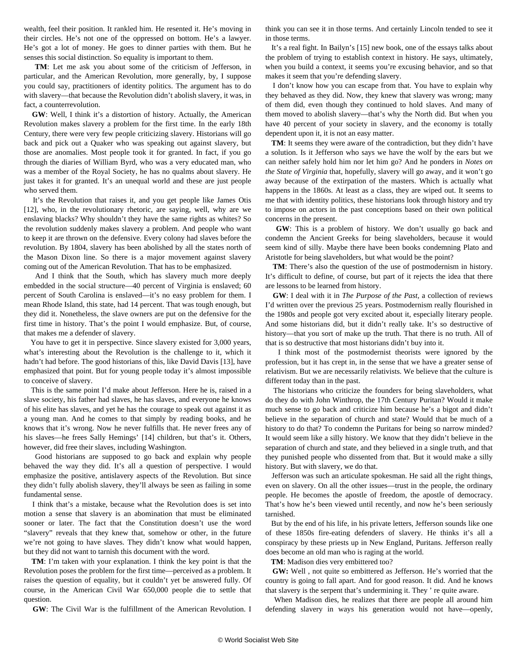wealth, feel their position. It rankled him. He resented it. He's moving in their circles. He's not one of the oppressed on bottom. He's a lawyer. He's got a lot of money. He goes to dinner parties with them. But he senses this social distinction. So equality is important to them.

 **TM**: Let me ask you about some of the criticism of Jefferson, in particular, and the American Revolution, more generally, by, I suppose you could say, practitioners of identity politics. The argument has to do with slavery—that because the Revolution didn't abolish slavery, it was, in fact, a counterrevolution.

 **GW**: Well, I think it's a distortion of history. Actually, the American Revolution makes slavery a problem for the first time. In the early 18th Century, there were very few people criticizing slavery. Historians will go back and pick out a Quaker who was speaking out against slavery, but those are anomalies. Most people took it for granted. In fact, if you go through the diaries of William Byrd, who was a very educated man, who was a member of the Royal Society, he has no qualms about slavery. He just takes it for granted. It's an unequal world and these are just people who served them.

 It's the Revolution that raises it, and you get people like James Otis [12], who, in the revolutionary rhetoric, are saying, well, why are we enslaving blacks? Why shouldn't they have the same rights as whites? So the revolution suddenly makes slavery a problem. And people who want to keep it are thrown on the defensive. Every colony had slaves before the revolution. By 1804, slavery has been abolished by all the states north of the Mason Dixon line. So there is a major movement against slavery coming out of the American Revolution. That has to be emphasized.

 And I think that the South, which has slavery much more deeply embedded in the social structure—40 percent of Virginia is enslaved; 60 percent of South Carolina is enslaved—it's no easy problem for them. I mean Rhode Island, this state, had 14 percent. That was tough enough, but they did it. Nonetheless, the slave owners are put on the defensive for the first time in history. That's the point I would emphasize. But, of course, that makes me a defender of slavery.

 You have to get it in perspective. Since slavery existed for 3,000 years, what's interesting about the Revolution is the challenge to it, which it hadn't had before. The good historians of this, like David Davis [13], have emphasized that point. But for young people today it's almost impossible to conceive of slavery.

 This is the same point I'd make about Jefferson. Here he is, raised in a slave society, his father had slaves, he has slaves, and everyone he knows of his elite has slaves, and yet he has the courage to speak out against it as a young man. And he comes to that simply by reading books, and he knows that it's wrong. Now he never fulfills that. He never frees any of his slaves—he frees Sally Hemings' [14] children, but that's it. Others, however, did free their slaves, including Washington.

 Good historians are supposed to go back and explain why people behaved the way they did. It's all a question of perspective. I would emphasize the positive, antislavery aspects of the Revolution. But since they didn't fully abolish slavery, they'll always be seen as failing in some fundamental sense.

 I think that's a mistake, because what the Revolution does is set into motion a sense that slavery is an abomination that must be eliminated sooner or later. The fact that the Constitution doesn't use the word "slavery" reveals that they knew that, somehow or other, in the future we're not going to have slaves. They didn't know what would happen, but they did not want to tarnish this document with the word.

 **TM**: I'm taken with your explanation. I think the key point is that the Revolution poses the problem for the first time—perceived as a problem. It raises the question of equality, but it couldn't yet be answered fully. Of course, in the American Civil War 650,000 people die to settle that question.

**GW**: The Civil War is the fulfillment of the American Revolution. I

think you can see it in those terms. And certainly Lincoln tended to see it in those terms.

 It's a real fight. In Bailyn's [15] new book, one of the essays talks about the problem of trying to establish context in history. He says, ultimately, when you build a context, it seems you're excusing behavior, and so that makes it seem that you're defending slavery.

 I don't know how you can escape from that. You have to explain why they behaved as they did. Now, they knew that slavery was wrong; many of them did, even though they continued to hold slaves. And many of them moved to abolish slavery—that's why the North did. But when you have 40 percent of your society in slavery, and the economy is totally dependent upon it, it is not an easy matter.

 **TM**: It seems they were aware of the contradiction, but they didn't have a solution. Is it Jefferson who says we have the wolf by the ears but we can neither safely hold him nor let him go? And he ponders in *Notes on the State of Virginia* that, hopefully, slavery will go away, and it won't go away because of the extirpation of the masters. Which is actually what happens in the 1860s. At least as a class, they are wiped out. It seems to me that with identity politics, these historians look through history and try to impose on actors in the past conceptions based on their own political concerns in the present.

 **GW**: This is a problem of history. We don't usually go back and condemn the Ancient Greeks for being slaveholders, because it would seem kind of silly. Maybe there have been books condemning Plato and Aristotle for being slaveholders, but what would be the point?

 **TM**: There's also the question of the use of postmodernism in history. It's difficult to define, of course, but part of it rejects the idea that there are lessons to be learned from history.

 **GW**: I deal with it in *The Purpose of the Past*, a collection of reviews I'd written over the previous 25 years. Postmodernism really flourished in the 1980s and people got very excited about it, especially literary people. And some historians did, but it didn't really take. It's so destructive of history—that you sort of make up the truth. That there is no truth. All of that is so destructive that most historians didn't buy into it.

 I think most of the postmodernist theorists were ignored by the profession, but it has crept in, in the sense that we have a greater sense of relativism. But we are necessarily relativists. We believe that the culture is different today than in the past.

 The historians who criticize the founders for being slaveholders, what do they do with John Winthrop, the 17th Century Puritan? Would it make much sense to go back and criticize him because he's a bigot and didn't believe in the separation of church and state? Would that be much of a history to do that? To condemn the Puritans for being so narrow minded? It would seem like a silly history. We know that they didn't believe in the separation of church and state, and they believed in a single truth, and that they punished people who dissented from that. But it would make a silly history. But with slavery, we do that.

 Jefferson was such an articulate spokesman. He said all the right things, even on slavery. On all the other issues—trust in the people, the ordinary people. He becomes the apostle of freedom, the apostle of democracy. That's how he's been viewed until recently, and now he's been seriously tarnished.

 But by the end of his life, in his private letters, Jefferson sounds like one of these 1850s fire-eating defenders of slavery. He thinks it's all a conspiracy by these priests up in New England, Puritans. Jefferson really does become an old man who is raging at the world.

**TM**: Madison dies very embittered too?

 **GW:** Well , not quite so embittered as Jefferson. He's worried that the country is going to fall apart. And for good reason. It did. And he knows that slavery is the serpent that's undermining it. They ' re quite aware.

 When Madison dies, he realizes that there are people all around him defending slavery in ways his generation would not have—openly,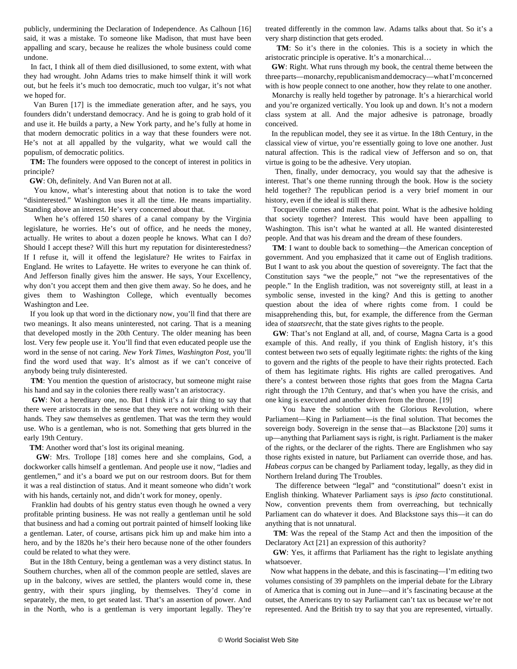publicly, undermining the Declaration of Independence. As Calhoun [16] said, it was a mistake. To someone like Madison, that must have been appalling and scary, because he realizes the whole business could come undone.

 In fact, I think all of them died disillusioned, to some extent, with what they had wrought. John Adams tries to make himself think it will work out, but he feels it's much too democratic, much too vulgar, it's not what we hoped for.

 Van Buren [17] is the immediate generation after, and he says, you founders didn't understand democracy. And he is going to grab hold of it and use it. He builds a party, a New York party, and he's fully at home in that modern democratic politics in a way that these founders were not. He's not at all appalled by the vulgarity, what we would call the populism, of democratic politics.

 **TM:** The founders were opposed to the concept of interest in politics in principle?

**GW**: Oh, definitely. And Van Buren not at all.

 You know, what's interesting about that notion is to take the word "disinterested." Washington uses it all the time. He means impartiality. Standing above an interest. He's very concerned about that.

 When he's offered 150 shares of a canal company by the Virginia legislature, he worries. He's out of office, and he needs the money, actually. He writes to about a dozen people he knows. What can I do? Should I accept these? Will this hurt my reputation for disinterestedness? If I refuse it, will it offend the legislature? He writes to Fairfax in England. He writes to Lafayette. He writes to everyone he can think of. And Jefferson finally gives him the answer. He says, Your Excellency, why don't you accept them and then give them away. So he does, and he gives them to Washington College, which eventually becomes Washington and Lee.

 If you look up that word in the dictionary now, you'll find that there are two meanings. It also means uninterested, not caring. That is a meaning that developed mostly in the 20th Century. The older meaning has been lost. Very few people use it. You'll find that even educated people use the word in the sense of not caring. *New York Times*, *Washington Post*, you'll find the word used that way. It's almost as if we can't conceive of anybody being truly disinterested.

 **TM**: You mention the question of aristocracy, but someone might raise his hand and say in the colonies there really wasn't an aristocracy.

 **GW**: Not a hereditary one, no. But I think it's a fair thing to say that there were aristocrats in the sense that they were not working with their hands. They saw themselves as gentlemen. That was the term they would use. Who is a gentleman, who is not. Something that gets blurred in the early 19th Century.

**TM**: Another word that's lost its original meaning.

 **GW**: Mrs. Trollope [18] comes here and she complains, God, a dockworker calls himself a gentleman. And people use it now, "ladies and gentlemen," and it's a board we put on our restroom doors. But for them it was a real distinction of status. And it meant someone who didn't work with his hands, certainly not, and didn't work for money, openly.

 Franklin had doubts of his gentry status even though he owned a very profitable printing business. He was not really a gentleman until he sold that business and had a coming out portrait painted of himself looking like a gentleman. Later, of course, artisans pick him up and make him into a hero, and by the 1820s he's their hero because none of the other founders could be related to what they were.

 But in the 18th Century, being a gentleman was a very distinct status. In Southern churches, when all of the common people are settled, slaves are up in the balcony, wives are settled, the planters would come in, these gentry, with their spurs jingling, by themselves. They'd come in separately, the men, to get seated last. That's an assertion of power. And in the North, who is a gentleman is very important legally. They're

treated differently in the common law. Adams talks about that. So it's a very sharp distinction that gets eroded.

 **TM**: So it's there in the colonies. This is a society in which the aristocratic principle is operative. It's a monarchical…

 **GW**: Right. What runs through my book, the central theme between the three parts—monarchy, republicanism and democracy—what I'm concerned with is how people connect to one another, how they relate to one another.

 Monarchy is really held together by patronage. It's a hierarchical world and you're organized vertically. You look up and down. It's not a modern class system at all. And the major adhesive is patronage, broadly conceived.

 In the republican model, they see it as virtue. In the 18th Century, in the classical view of virtue, you're essentially going to love one another. Just natural affection. This is the radical view of Jefferson and so on, that virtue is going to be the adhesive. Very utopian.

 Then, finally, under democracy, you would say that the adhesive is interest. That's one theme running through the book. How is the society held together? The republican period is a very brief moment in our history, even if the ideal is still there.

 Tocqueville comes and makes that point. What is the adhesive holding that society together? Interest. This would have been appalling to Washington. This isn't what he wanted at all. He wanted disinterested people. And that was his dream and the dream of these founders.

 **TM**: I want to double back to something—the American conception of government. And you emphasized that it came out of English traditions. But I want to ask you about the question of sovereignty. The fact that the Constitution says "we the people," not "we the representatives of the people." In the English tradition, was not sovereignty still, at least in a symbolic sense, invested in the king? And this is getting to another question about the idea of where rights come from. I could be misapprehending this, but, for example, the difference from the German idea of *staatsrecht*, that the state gives rights to the people.

 **GW**: That's not England at all, and, of course, Magna Carta is a good example of this. And really, if you think of English history, it's this contest between two sets of equally legitimate rights: the rights of the king to govern and the rights of the people to have their rights protected. Each of them has legitimate rights. His rights are called prerogatives. And there's a contest between those rights that goes from the Magna Carta right through the 17th Century, and that's when you have the crisis, and one king is executed and another driven from the throne. [19]

 You have the solution with the Glorious Revolution, where Parliament—King in Parliament—is the final solution. That becomes the sovereign body. Sovereign in the sense that—as Blackstone [20] sums it up—anything that Parliament says is right, is right. Parliament is the maker of the rights, or the declarer of the rights. There are Englishmen who say those rights existed in nature, but Parliament can override those, and has. *Habeas corpus* can be changed by Parliament today, legally, as they did in Northern Ireland during The Troubles.

 The difference between "legal" and "constitutional" doesn't exist in English thinking. Whatever Parliament says is *ipso facto* constitutional. Now, convention prevents them from overreaching, but technically Parliament can do whatever it does. And Blackstone says this—it can do anything that is not unnatural.

 **TM**: Was the repeal of the Stamp Act and then the imposition of the Declaratory Act [21] an expression of this authority?

 **GW**: Yes, it affirms that Parliament has the right to legislate anything whatsoever.

 Now what happens in the debate, and this is fascinating—I'm editing two volumes consisting of 39 pamphlets on the imperial debate for the Library of America that is coming out in June—and it's fascinating because at the outset, the Americans try to say Parliament can't tax us because we're not represented. And the British try to say that you are represented, virtually.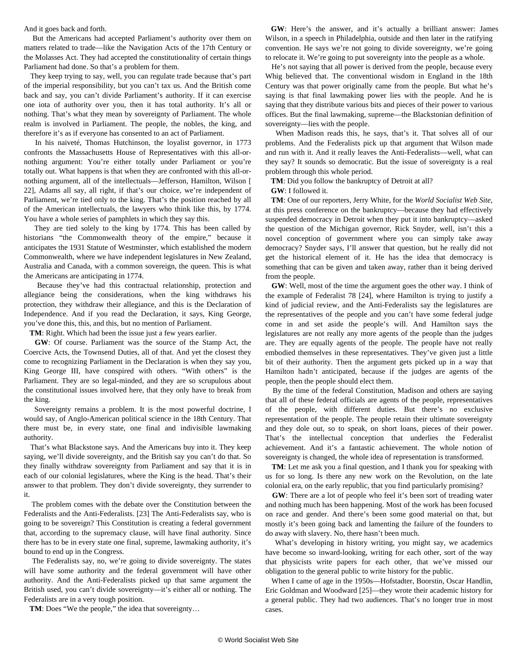#### And it goes back and forth.

 But the Americans had accepted Parliament's authority over them on matters related to trade—like the Navigation Acts of the 17th Century or the Molasses Act. They had accepted the constitutionality of certain things Parliament had done. So that's a problem for them.

 They keep trying to say, well, you can regulate trade because that's part of the imperial responsibility, but you can't tax us. And the British come back and say, you can't divide Parliament's authority. If it can exercise one iota of authority over you, then it has total authority. It's all or nothing. That's what they mean by sovereignty of Parliament. The whole realm is involved in Parliament. The people, the nobles, the king, and therefore it's as if everyone has consented to an act of Parliament.

 In his naiveté, Thomas Hutchinson, the loyalist governor, in 1773 confronts the Massachusetts House of Representatives with this all-ornothing argument: You're either totally under Parliament or you're totally out. What happens is that when they are confronted with this all-ornothing argument, all of the intellectuals—Jefferson, Hamilton, Wilson [ 22], Adams all say, all right, if that's our choice, we're independent of Parliament, we're tied only to the king. That's the position reached by all of the American intellectuals, the lawyers who think like this, by 1774. You have a whole series of pamphlets in which they say this.

 They are tied solely to the king by 1774. This has been called by historians "the Commonwealth theory of the empire," because it anticipates the 1931 Statute of Westminster, which established the modern Commonwealth, where we have independent legislatures in New Zealand, Australia and Canada, with a common sovereign, the queen. This is what the Americans are anticipating in 1774.

 Because they've had this contractual relationship, protection and allegiance being the considerations, when the king withdraws his protection, they withdraw their allegiance, and this is the Declaration of Independence. And if you read the Declaration, it says, King George, you've done this, this, and this, but no mention of Parliament.

**TM**: Right. Which had been the issue just a few years earlier.

 **GW**: Of course. Parliament was the source of the Stamp Act, the Coercive Acts, the Townsend Duties, all of that. And yet the closest they come to recognizing Parliament in the Declaration is when they say you, King George III, have conspired with others. "With others" is the Parliament. They are so legal-minded, and they are so scrupulous about the constitutional issues involved here, that they only have to break from the king.

 Sovereignty remains a problem. It is the most powerful doctrine, I would say, of Anglo-American political science in the 18th Century. That there must be, in every state, one final and indivisible lawmaking authority.

 That's what Blackstone says. And the Americans buy into it. They keep saying, we'll divide sovereignty, and the British say you can't do that. So they finally withdraw sovereignty from Parliament and say that it is in each of our colonial legislatures, where the King is the head. That's their answer to that problem. They don't divide sovereignty, they surrender to it.

 The problem comes with the debate over the Constitution between the Federalists and the Anti-Federalists. [23] The Anti-Federalists say, who is going to be sovereign? This Constitution is creating a federal government that, according to the supremacy clause, will have final authority. Since there has to be in every state one final, supreme, lawmaking authority, it's bound to end up in the Congress.

 The Federalists say, no, we're going to divide sovereignty. The states will have some authority and the federal government will have other authority. And the Anti-Federalists picked up that same argument the British used, you can't divide sovereignty—it's either all or nothing. The Federalists are in a very tough position.

**TM**: Does "We the people," the idea that sovereignty…

 **GW**: Here's the answer, and it's actually a brilliant answer: James Wilson, in a speech in Philadelphia, outside and then later in the ratifying convention. He says we're not going to divide sovereignty, we're going to relocate it. We're going to put sovereignty into the people as a whole.

 He's not saying that all power is derived from the people, because every Whig believed that. The conventional wisdom in England in the 18th Century was that power originally came from the people. But what he's saying is that final lawmaking power lies with the people. And he is saying that they distribute various bits and pieces of their power to various offices. But the final lawmaking, supreme—the Blackstonian definition of sovereignty—lies with the people.

 When Madison reads this, he says, that's it. That solves all of our problems. And the Federalists pick up that argument that Wilson made and run with it. And it really leaves the Anti-Federalists—well, what can they say? It sounds so democratic. But the issue of sovereignty is a real problem through this whole period.

**TM**: Did you follow the bankruptcy of Detroit at all?

**GW**: I followed it.

 **TM**: One of our reporters, Jerry White, for the *World Socialist Web Site*, at this press conference on the bankruptcy—because they had effectively suspended democracy in Detroit when they put it into bankruptcy—asked the question of the Michigan governor, Rick Snyder, well, isn't this a novel conception of government where you can simply take away democracy? Snyder says, I'll answer that question, but he really did not get the historical element of it. He has the idea that democracy is something that can be given and taken away, rather than it being derived from the people.

 **GW**: Well, most of the time the argument goes the other way. I think of the example of Federalist 78 [24], where Hamilton is trying to justify a kind of judicial review, and the Anti-Federalists say the legislatures are the representatives of the people and you can't have some federal judge come in and set aside the people's will. And Hamilton says the legislatures are not really any more agents of the people than the judges are. They are equally agents of the people. The people have not really embodied themselves in these representatives. They've given just a little bit of their authority. Then the argument gets picked up in a way that Hamilton hadn't anticipated, because if the judges are agents of the people, then the people should elect them.

 By the time of the federal Constitution, Madison and others are saying that all of these federal officials are agents of the people, representatives of the people, with different duties. But there's no exclusive representation of the people. The people retain their ultimate sovereignty and they dole out, so to speak, on short loans, pieces of their power. That's the intellectual conception that underlies the Federalist achievement. And it's a fantastic achievement. The whole notion of sovereignty is changed, the whole idea of representation is transformed.

 **TM**: Let me ask you a final question, and I thank you for speaking with us for so long. Is there any new work on the Revolution, on the late colonial era, on the early republic, that you find particularly promising?

GW: There are a lot of people who feel it's been sort of treading water and nothing much has been happening. Most of the work has been focused on race and gender. And there's been some good material on that, but mostly it's been going back and lamenting the failure of the founders to do away with slavery. No, there hasn't been much.

 What's developing in history writing, you might say, we academics have become so inward-looking, writing for each other, sort of the way that physicists write papers for each other, that we've missed our obligation to the general public to write history for the public.

 When I came of age in the 1950s—Hofstadter, Boorstin, Oscar Handlin, Eric Goldman and Woodward [25]—they wrote their academic history for a general public. They had two audiences. That's no longer true in most cases.